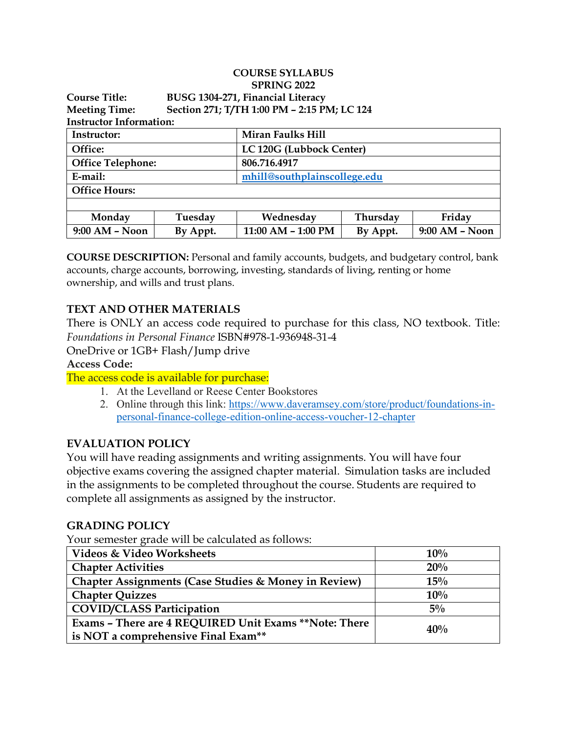|                                |                                   | <b>COURSE SYLLABUS</b>                      |          |                |  |  |  |
|--------------------------------|-----------------------------------|---------------------------------------------|----------|----------------|--|--|--|
|                                |                                   | <b>SPRING 2022</b>                          |          |                |  |  |  |
| <b>Course Title:</b>           | BUSG 1304-271, Financial Literacy |                                             |          |                |  |  |  |
| <b>Meeting Time:</b>           |                                   | Section 271; T/TH 1:00 PM - 2:15 PM; LC 124 |          |                |  |  |  |
| <b>Instructor Information:</b> |                                   |                                             |          |                |  |  |  |
| Instructor:                    |                                   | <b>Miran Faulks Hill</b>                    |          |                |  |  |  |
| Office:                        |                                   | LC 120G (Lubbock Center)                    |          |                |  |  |  |
| <b>Office Telephone:</b>       |                                   | 806.716.4917                                |          |                |  |  |  |
| E-mail:                        |                                   | mhill@southplainscollege.edu                |          |                |  |  |  |
| <b>Office Hours:</b>           |                                   |                                             |          |                |  |  |  |
|                                |                                   |                                             |          |                |  |  |  |
| Monday                         | Tuesday                           | Wednesday                                   | Thursday | Friday         |  |  |  |
| $9:00$ AM - Noon               | By Appt.                          | 11:00 AM - 1:00 PM                          | By Appt. | 9:00 AM - Noon |  |  |  |

**COURSE DESCRIPTION:** Personal and family accounts, budgets, and budgetary control, bank accounts, charge accounts, borrowing, investing, standards of living, renting or home ownership, and wills and trust plans.

# **TEXT AND OTHER MATERIALS**

There is ONLY an access code required to purchase for this class, NO textbook. Title: *Foundations in Personal Finance* ISBN#978-1-936948-31-4

OneDrive or 1GB+ Flash/Jump drive

**Access Code:**

The access code is available for purchase:

- 1. At the Levelland or Reese Center Bookstores
- 2. Online through this link: [https://www.daveramsey.com/store/product/foundations-in](https://www.daveramsey.com/store/product/foundations-in-personal-finance-college-edition-online-access-voucher-12-chapter)[personal-finance-college-edition-online-access-voucher-12-chapter](https://www.daveramsey.com/store/product/foundations-in-personal-finance-college-edition-online-access-voucher-12-chapter)

## **EVALUATION POLICY**

You will have reading assignments and writing assignments. You will have four objective exams covering the assigned chapter material. Simulation tasks are included in the assignments to be completed throughout the course. Students are required to complete all assignments as assigned by the instructor.

#### **GRADING POLICY**

Your semester grade will be calculated as follows:

| Videos & Video Worksheets                             | 10%   |  |
|-------------------------------------------------------|-------|--|
| <b>Chapter Activities</b>                             | 20%   |  |
| Chapter Assignments (Case Studies & Money in Review)  | 15%   |  |
| <b>Chapter Quizzes</b>                                | 10%   |  |
| <b>COVID/CLASS Participation</b>                      | $5\%$ |  |
| Exams - There are 4 REQUIRED Unit Exams **Note: There | 40%   |  |
| is NOT a comprehensive Final Exam**                   |       |  |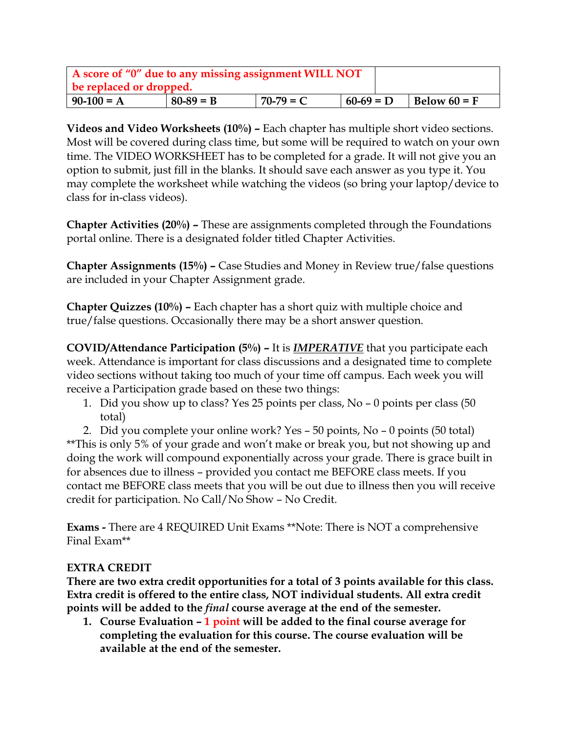| A score of "0" due to any missing assignment WILL NOT<br>be replaced or dropped. |             |             |             |  |                |  |  |
|----------------------------------------------------------------------------------|-------------|-------------|-------------|--|----------------|--|--|
| $90-100 = A$                                                                     | $80-89 = B$ | $70-79 = C$ | $60-69 = D$ |  | Below $60 = F$ |  |  |

**Videos and Video Worksheets (10%) –** Each chapter has multiple short video sections. Most will be covered during class time, but some will be required to watch on your own time. The VIDEO WORKSHEET has to be completed for a grade. It will not give you an option to submit, just fill in the blanks. It should save each answer as you type it. You may complete the worksheet while watching the videos (so bring your laptop/device to class for in-class videos).

**Chapter Activities (20%) –** These are assignments completed through the Foundations portal online. There is a designated folder titled Chapter Activities.

**Chapter Assignments (15%) –** Case Studies and Money in Review true/false questions are included in your Chapter Assignment grade.

**Chapter Quizzes (10%) –** Each chapter has a short quiz with multiple choice and true/false questions. Occasionally there may be a short answer question.

**COVID/Attendance Participation (5%) –** It is *IMPERATIVE* that you participate each week. Attendance is important for class discussions and a designated time to complete video sections without taking too much of your time off campus. Each week you will receive a Participation grade based on these two things:

1. Did you show up to class? Yes 25 points per class, No – 0 points per class (50 total)

2. Did you complete your online work? Yes – 50 points, No – 0 points (50 total) \*\*This is only 5% of your grade and won't make or break you, but not showing up and doing the work will compound exponentially across your grade. There is grace built in for absences due to illness – provided you contact me BEFORE class meets. If you contact me BEFORE class meets that you will be out due to illness then you will receive credit for participation. No Call/No Show – No Credit.

**Exams -** There are 4 REQUIRED Unit Exams \*\*Note: There is NOT a comprehensive Final Exam\*\*

## **EXTRA CREDIT**

**There are two extra credit opportunities for a total of 3 points available for this class. Extra credit is offered to the entire class, NOT individual students. All extra credit points will be added to the** *final* **course average at the end of the semester.**

**1. Course Evaluation – 1 point will be added to the final course average for completing the evaluation for this course. The course evaluation will be available at the end of the semester.**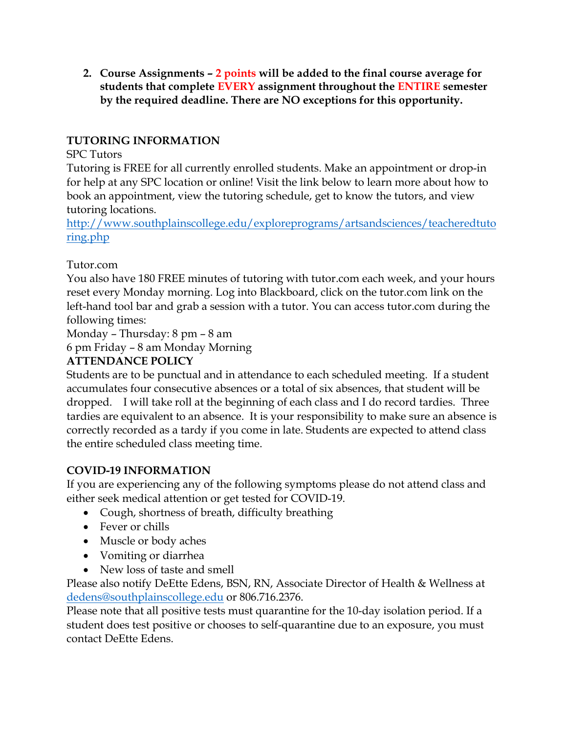**2. Course Assignments – 2 points will be added to the final course average for students that complete EVERY assignment throughout the ENTIRE semester by the required deadline. There are NO exceptions for this opportunity.** 

# **TUTORING INFORMATION**

#### SPC Tutors

Tutoring is FREE for all currently enrolled students. Make an appointment or drop-in for help at any SPC location or online! Visit the link below to learn more about how to book an appointment, view the tutoring schedule, get to know the tutors, and view tutoring locations.

[http://www.southplainscollege.edu/exploreprograms/artsandsciences/teacheredtuto](http://www.southplainscollege.edu/exploreprograms/artsandsciences/teacheredtutoring.php) [ring.php](http://www.southplainscollege.edu/exploreprograms/artsandsciences/teacheredtutoring.php)

Tutor.com

You also have 180 FREE minutes of tutoring with tutor.com each week, and your hours reset every Monday morning. Log into Blackboard, click on the tutor.com link on the left-hand tool bar and grab a session with a tutor. You can access tutor.com during the following times:

Monday – Thursday: 8 pm – 8 am

6 pm Friday – 8 am Monday Morning

## **ATTENDANCE POLICY**

Students are to be punctual and in attendance to each scheduled meeting. If a student accumulates four consecutive absences or a total of six absences, that student will be dropped. I will take roll at the beginning of each class and I do record tardies. Three tardies are equivalent to an absence. It is your responsibility to make sure an absence is correctly recorded as a tardy if you come in late. Students are expected to attend class the entire scheduled class meeting time.

## **COVID-19 INFORMATION**

If you are experiencing any of the following symptoms please do not attend class and either seek medical attention or get tested for COVID-19.

- Cough, shortness of breath, difficulty breathing
- Fever or chills
- Muscle or body aches
- Vomiting or diarrhea
- New loss of taste and smell

Please also notify DeEtte Edens, BSN, RN, Associate Director of Health & Wellness at [dedens@southplainscollege.edu](mailto:dedens@southplainscollege.edu) or 806.716.2376.

Please note that all positive tests must quarantine for the 10-day isolation period. If a student does test positive or chooses to self-quarantine due to an exposure, you must contact DeEtte Edens.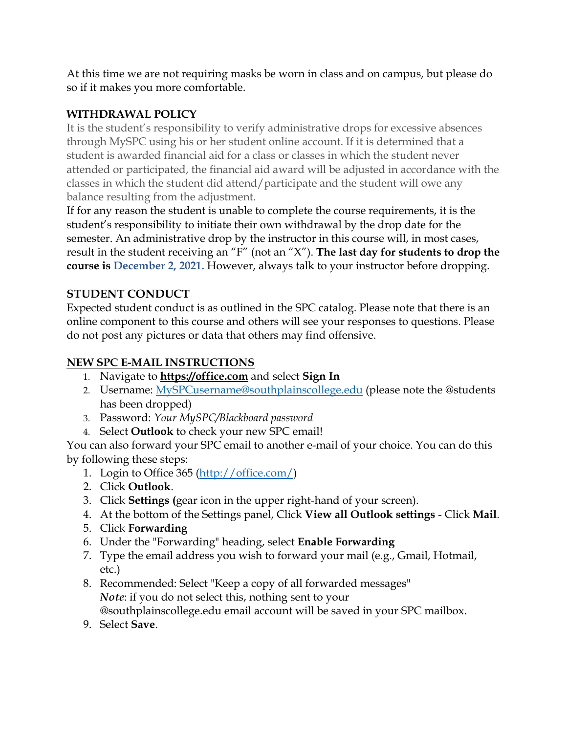At this time we are not requiring masks be worn in class and on campus, but please do so if it makes you more comfortable.

# **WITHDRAWAL POLICY**

It is the student's responsibility to verify administrative drops for excessive absences through MySPC using his or her student online account. If it is determined that a student is awarded financial aid for a class or classes in which the student never attended or participated, the financial aid award will be adjusted in accordance with the classes in which the student did attend/participate and the student will owe any balance resulting from the adjustment.

If for any reason the student is unable to complete the course requirements, it is the student's responsibility to initiate their own withdrawal by the drop date for the semester. An administrative drop by the instructor in this course will, in most cases, result in the student receiving an "F" (not an "X"). **The last day for students to drop the course is December 2, 2021.** However, always talk to your instructor before dropping.

# **STUDENT CONDUCT**

Expected student conduct is as outlined in the SPC catalog. Please note that there is an online component to this course and others will see your responses to questions. Please do not post any pictures or data that others may find offensive.

# **NEW SPC E-MAIL INSTRUCTIONS**

- 1. Navigate to **[https://office.com](https://office.com/)** and select **Sign In**
- 2. Username: [MySPCusername@southplainscollege.edu](mailto:MySPCusername@southplainscollege.edu) (please note the @students has been dropped)
- 3. Password: *Your MySPC/Blackboard password*
- 4. Select **Outlook** to check your new SPC email!

You can also forward your SPC email to another e-mail of your choice. You can do this by following these steps:

- 1. Login to Office 365 [\(http://office.com/\)](http://office.com/)
- 2. Click **Outlook**.
- 3. Click **Settings (**gear icon in the upper right-hand of your screen).
- 4. At the bottom of the Settings panel, Click **View all Outlook settings** Click **Mail**.
- 5. Click **Forwarding**
- 6. Under the "Forwarding" heading, select **Enable Forwarding**
- 7. Type the email address you wish to forward your mail (e.g., Gmail, Hotmail, etc.)
- 8. Recommended: Select "Keep a copy of all forwarded messages" *Note*: if you do not select this, nothing sent to your @southplainscollege.edu email account will be saved in your SPC mailbox.
- 9. Select **Save**.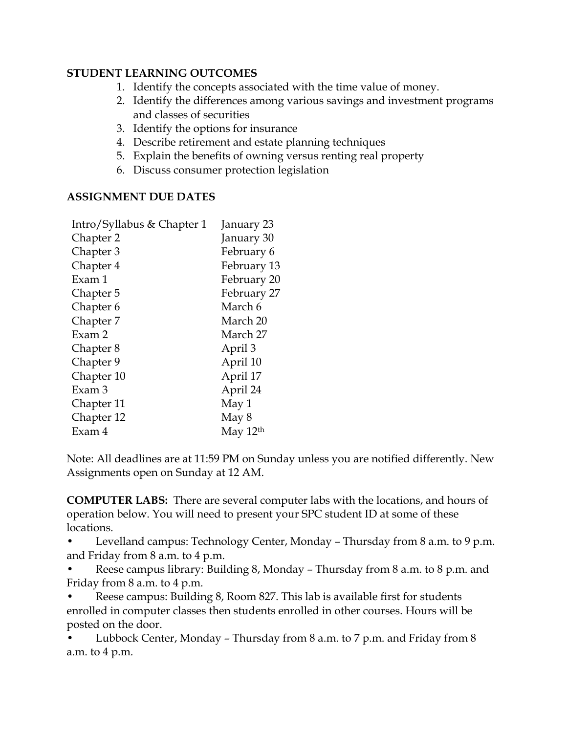#### **STUDENT LEARNING OUTCOMES**

- 1. Identify the concepts associated with the time value of money.
- 2. Identify the differences among various savings and investment programs and classes of securities
- 3. Identify the options for insurance
- 4. Describe retirement and estate planning techniques
- 5. Explain the benefits of owning versus renting real property
- 6. Discuss consumer protection legislation

## **ASSIGNMENT DUE DATES**

| January 23  |
|-------------|
| January 30  |
| February 6  |
| February 13 |
| February 20 |
| February 27 |
| March 6     |
| March 20    |
| March 27    |
| April 3     |
| April 10    |
| April 17    |
| April 24    |
| May 1       |
| May 8       |
| May $12th$  |
|             |

Note: All deadlines are at 11:59 PM on Sunday unless you are notified differently. New Assignments open on Sunday at 12 AM.

**COMPUTER LABS:** There are several computer labs with the locations, and hours of operation below. You will need to present your SPC student ID at some of these locations.

• Levelland campus: Technology Center, Monday – Thursday from 8 a.m. to 9 p.m. and Friday from 8 a.m. to 4 p.m.

• Reese campus library: Building 8, Monday – Thursday from 8 a.m. to 8 p.m. and Friday from 8 a.m. to 4 p.m.

• Reese campus: Building 8, Room 827. This lab is available first for students enrolled in computer classes then students enrolled in other courses. Hours will be posted on the door.

• Lubbock Center, Monday – Thursday from 8 a.m. to 7 p.m. and Friday from 8 a.m. to 4 p.m.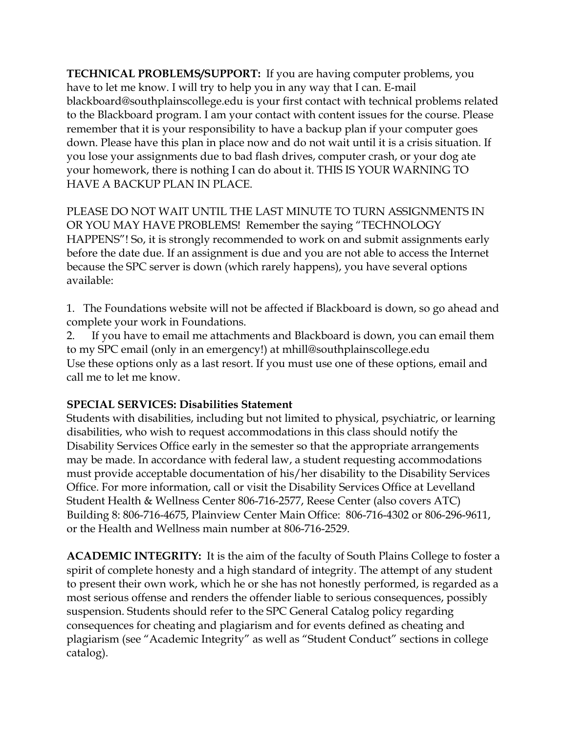**TECHNICAL PROBLEMS/SUPPORT:** If you are having computer problems, you have to let me know. I will try to help you in any way that I can. E-mail blackboard@southplainscollege.edu is your first contact with technical problems related to the Blackboard program. I am your contact with content issues for the course. Please remember that it is your responsibility to have a backup plan if your computer goes down. Please have this plan in place now and do not wait until it is a crisis situation. If you lose your assignments due to bad flash drives, computer crash, or your dog ate your homework, there is nothing I can do about it. THIS IS YOUR WARNING TO HAVE A BACKUP PLAN IN PLACE.

PLEASE DO NOT WAIT UNTIL THE LAST MINUTE TO TURN ASSIGNMENTS IN OR YOU MAY HAVE PROBLEMS! Remember the saying "TECHNOLOGY HAPPENS"! So, it is strongly recommended to work on and submit assignments early before the date due. If an assignment is due and you are not able to access the Internet because the SPC server is down (which rarely happens), you have several options available:

1. The Foundations website will not be affected if Blackboard is down, so go ahead and complete your work in Foundations.

2. If you have to email me attachments and Blackboard is down, you can email them to my SPC email (only in an emergency!) at mhill@southplainscollege.edu Use these options only as a last resort. If you must use one of these options, email and call me to let me know.

## **SPECIAL SERVICES: Disabilities Statement**

Students with disabilities, including but not limited to physical, psychiatric, or learning disabilities, who wish to request accommodations in this class should notify the Disability Services Office early in the semester so that the appropriate arrangements may be made. In accordance with federal law, a student requesting accommodations must provide acceptable documentation of his/her disability to the Disability Services Office. For more information, call or visit the Disability Services Office at Levelland Student Health & Wellness Center 806-716-2577, Reese Center (also covers ATC) Building 8: 806-716-4675, Plainview Center Main Office: 806-716-4302 or 806-296-9611, or the Health and Wellness main number at 806-716-2529.

**ACADEMIC INTEGRITY:** It is the aim of the faculty of South Plains College to foster a spirit of complete honesty and a high standard of integrity. The attempt of any student to present their own work, which he or she has not honestly performed, is regarded as a most serious offense and renders the offender liable to serious consequences, possibly suspension. Students should refer to the SPC General Catalog policy regarding consequences for cheating and plagiarism and for events defined as cheating and plagiarism (see "Academic Integrity" as well as "Student Conduct" sections in college catalog).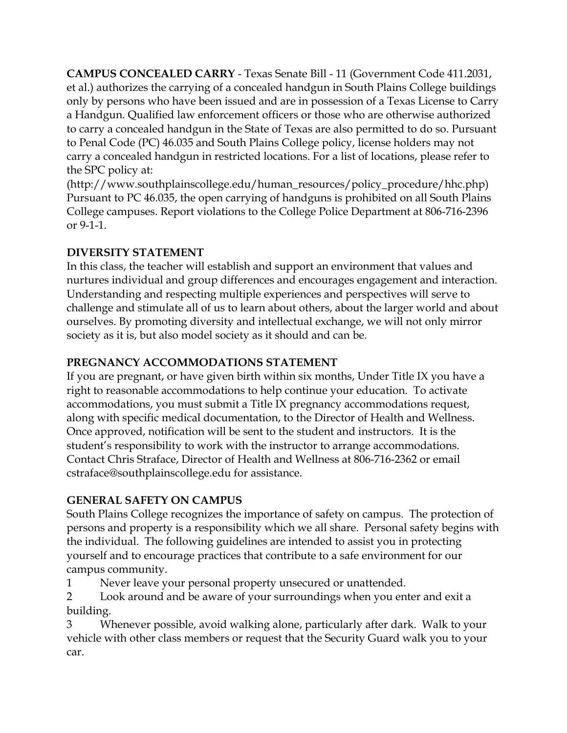**CAMPUS CONCEALED CARRY** - Texas Senate Bill - 11 (Government Code 411.2031, et al.) authorizes the carrying of a concealed handgun in South Plains College buildings only by persons who have been issued and are in possession of a Texas License to Carry a Handgun. Qualified law enforcement officers or those who are otherwise authorized to carry a concealed handgun in the State of Texas are also permitted to do so. Pursuant to Penal Code (PC) 46.035 and South Plains College policy, license holders may not carry a concealed handgun in restricted locations. For a list of locations, please refer to the SPC policy at:

(http://www.southplainscollege.edu/human\_resources/policy\_procedure/hhc.php) Pursuant to PC 46.035, the open carrying of handguns is prohibited on all South Plains College campuses. Report violations to the College Police Department at 806-716-2396 or 9-1-1.

# **DIVERSITY STATEMENT**

In this class, the teacher will establish and support an environment that values and nurtures individual and group differences and encourages engagement and interaction. Understanding and respecting multiple experiences and perspectives will serve to challenge and stimulate all of us to learn about others, about the larger world and about ourselves. By promoting diversity and intellectual exchange, we will not only mirror society as it is, but also model society as it should and can be.

# **PREGNANCY ACCOMMODATIONS STATEMENT**

If you are pregnant, or have given birth within six months, Under Title IX you have a right to reasonable accommodations to help continue your education. To activate accommodations, you must submit a Title IX pregnancy accommodations request, along with specific medical documentation, to the Director of Health and Wellness. Once approved, notification will be sent to the student and instructors. It is the student's responsibility to work with the instructor to arrange accommodations. Contact Chris Straface, Director of Health and Wellness at 806-716-2362 or email cstraface@southplainscollege.edu for assistance.

# **GENERAL SAFETY ON CAMPUS**

South Plains College recognizes the importance of safety on campus. The protection of persons and property is a responsibility which we all share. Personal safety begins with the individual. The following guidelines are intended to assist you in protecting yourself and to encourage practices that contribute to a safe environment for our campus community.

1 Never leave your personal property unsecured or unattended.

2 Look around and be aware of your surroundings when you enter and exit a building.

3 Whenever possible, avoid walking alone, particularly after dark. Walk to your vehicle with other class members or request that the Security Guard walk you to your car.